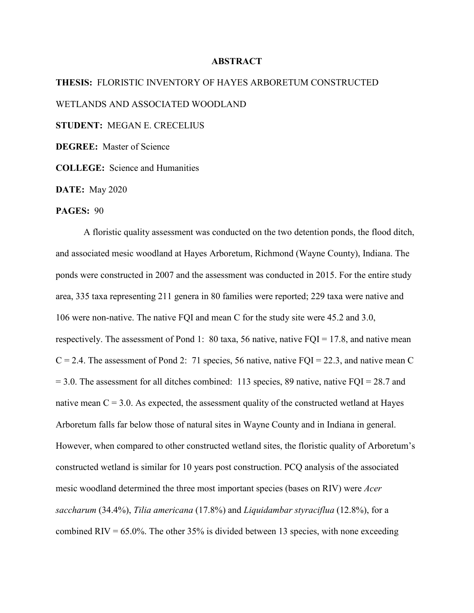## **ABSTRACT**

**THESIS:** FLORISTIC INVENTORY OF HAYES ARBORETUM CONSTRUCTED WETLANDS AND ASSOCIATED WOODLAND **STUDENT:** MEGAN E. CRECELIUS **DEGREE:** Master of Science **COLLEGE:** Science and Humanities

**DATE:** May 2020

## **PAGES:** 90

A floristic quality assessment was conducted on the two detention ponds, the flood ditch, and associated mesic woodland at Hayes Arboretum, Richmond (Wayne County), Indiana. The ponds were constructed in 2007 and the assessment was conducted in 2015. For the entire study area, 335 taxa representing 211 genera in 80 families were reported; 229 taxa were native and 106 were non-native. The native FQI and mean C for the study site were 45.2 and 3.0, respectively. The assessment of Pond 1: 80 taxa, 56 native, native  $FQI = 17.8$ , and native mean  $C = 2.4$ . The assessment of Pond 2: 71 species, 56 native, native FQI = 22.3, and native mean C  $= 3.0$ . The assessment for all ditches combined: 113 species, 89 native, native FQI = 28.7 and native mean  $C = 3.0$ . As expected, the assessment quality of the constructed wetland at Hayes Arboretum falls far below those of natural sites in Wayne County and in Indiana in general. However, when compared to other constructed wetland sites, the floristic quality of Arboretum's constructed wetland is similar for 10 years post construction. PCQ analysis of the associated mesic woodland determined the three most important species (bases on RIV) were *Acer saccharum* (34.4%), *Tilia americana* (17.8%) and *Liquidambar styraciflua* (12.8%), for a combined RIV =  $65.0\%$ . The other 35% is divided between 13 species, with none exceeding